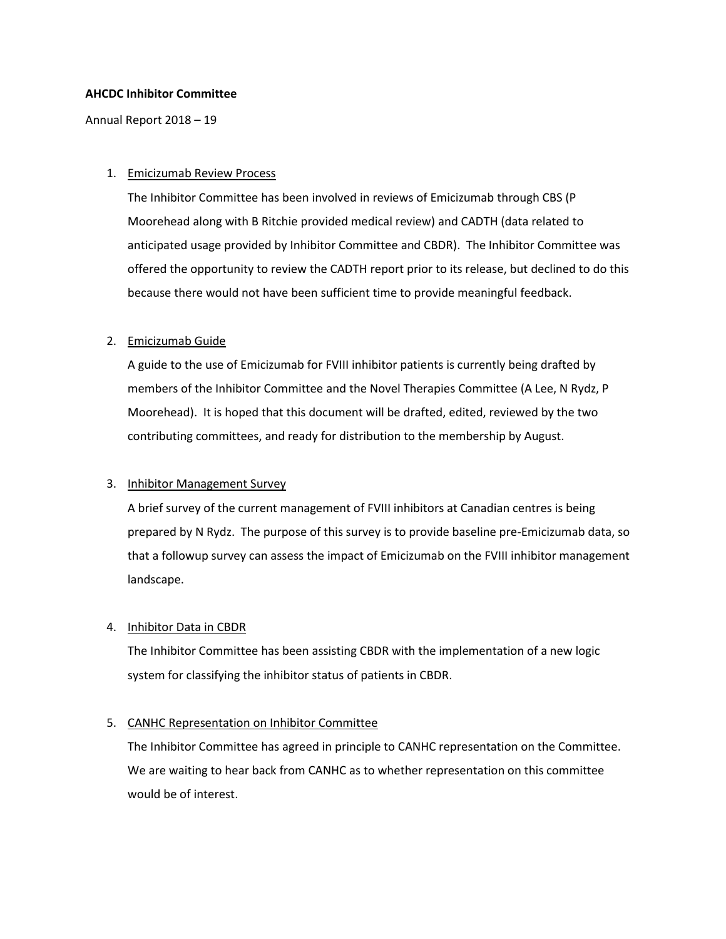### **AHCDC Inhibitor Committee**

Annual Report 2018 – 19

### 1. Emicizumab Review Process

The Inhibitor Committee has been involved in reviews of Emicizumab through CBS (P Moorehead along with B Ritchie provided medical review) and CADTH (data related to anticipated usage provided by Inhibitor Committee and CBDR). The Inhibitor Committee was offered the opportunity to review the CADTH report prior to its release, but declined to do this because there would not have been sufficient time to provide meaningful feedback.

# 2. Emicizumab Guide

A guide to the use of Emicizumab for FVIII inhibitor patients is currently being drafted by members of the Inhibitor Committee and the Novel Therapies Committee (A Lee, N Rydz, P Moorehead). It is hoped that this document will be drafted, edited, reviewed by the two contributing committees, and ready for distribution to the membership by August.

# 3. Inhibitor Management Survey

A brief survey of the current management of FVIII inhibitors at Canadian centres is being prepared by N Rydz. The purpose of this survey is to provide baseline pre-Emicizumab data, so that a followup survey can assess the impact of Emicizumab on the FVIII inhibitor management landscape.

#### 4. Inhibitor Data in CBDR

The Inhibitor Committee has been assisting CBDR with the implementation of a new logic system for classifying the inhibitor status of patients in CBDR.

# 5. CANHC Representation on Inhibitor Committee

The Inhibitor Committee has agreed in principle to CANHC representation on the Committee. We are waiting to hear back from CANHC as to whether representation on this committee would be of interest.